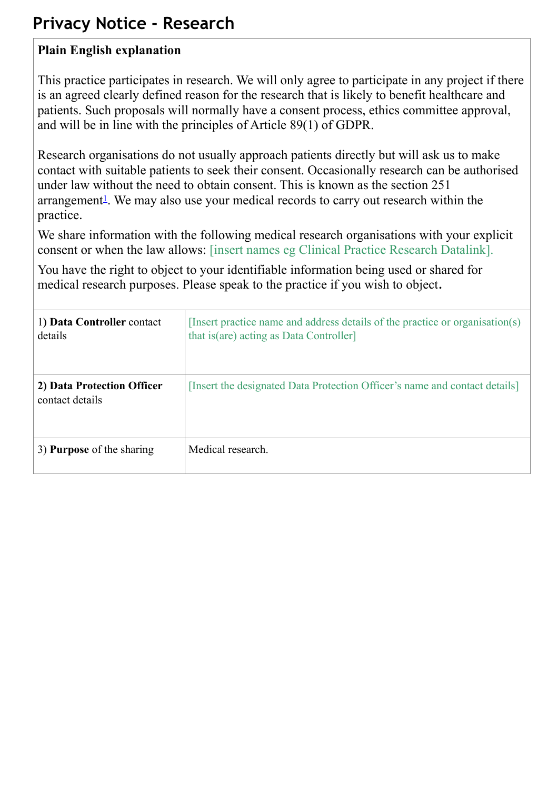## **Privacy Notice - Research**

## **Plain English explanation**

This practice participates in research. We will only agree to participate in any project if there is an agreed clearly defined reason for the research that is likely to benefit healthcare and patients. Such proposals will normally have a consent process, ethics committee approval, and will be in line with the principles of Article 89(1) of GDPR.

Research organisations do not usually approach patients directly but will ask us to make contact with suitable patients to seek their consent. Occasionally research can be authorised under law without the need to obtain consent. This is known as the section 251  $\alpha$  arrangement<sup>1</sup>. We may also use your medical records to carry out research within the practice.

We share information with the following medical research organisations with your explicit consent or when the law allows: [insert names eg Clinical Practice Research Datalink].

You have the right to object to your identifiable information being used or shared for medical research purposes. Please speak to the practice if you wish to object.

| 1) Data Controller contact<br>details         | [Insert practice name and address details of the practice or organisation(s)<br>that is (are) acting as Data Controller] |
|-----------------------------------------------|--------------------------------------------------------------------------------------------------------------------------|
| 2) Data Protection Officer<br>contact details | [Insert the designated Data Protection Officer's name and contact details]                                               |
| 3) <b>Purpose</b> of the sharing              | Medical research.                                                                                                        |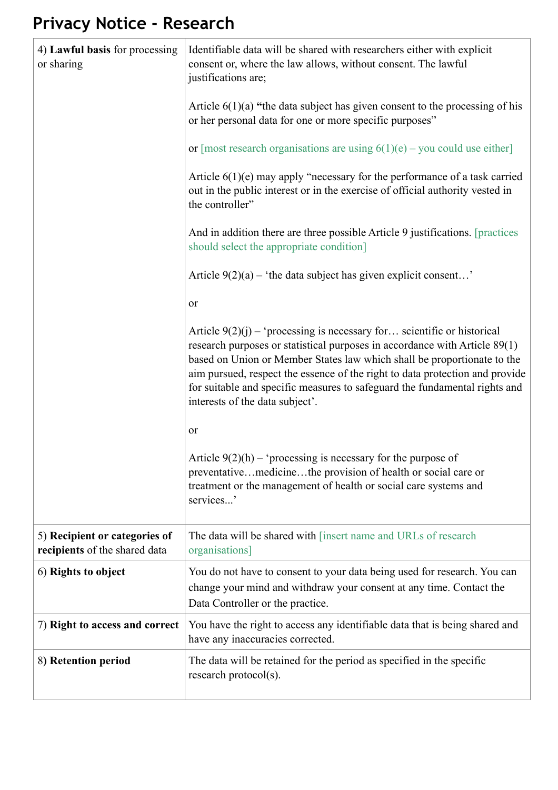## **Privacy Notice - Research**

| 4) Lawful basis for processing<br>or sharing                   | Identifiable data will be shared with researchers either with explicit<br>consent or, where the law allows, without consent. The lawful<br>justifications are;                                                                                                                                                                                                                                                                      |
|----------------------------------------------------------------|-------------------------------------------------------------------------------------------------------------------------------------------------------------------------------------------------------------------------------------------------------------------------------------------------------------------------------------------------------------------------------------------------------------------------------------|
|                                                                | Article $6(1)(a)$ "the data subject has given consent to the processing of his<br>or her personal data for one or more specific purposes"                                                                                                                                                                                                                                                                                           |
|                                                                | or [most research organisations are using $6(1)(e)$ – you could use either]                                                                                                                                                                                                                                                                                                                                                         |
|                                                                | Article $6(1)(e)$ may apply "necessary for the performance of a task carried<br>out in the public interest or in the exercise of official authority vested in<br>the controller"                                                                                                                                                                                                                                                    |
|                                                                | And in addition there are three possible Article 9 justifications. [practices]<br>should select the appropriate condition]                                                                                                                                                                                                                                                                                                          |
|                                                                | Article $9(2)(a)$ – 'the data subject has given explicit consent'                                                                                                                                                                                                                                                                                                                                                                   |
|                                                                | or                                                                                                                                                                                                                                                                                                                                                                                                                                  |
|                                                                | Article $9(2)(j)$ – 'processing is necessary for scientific or historical<br>research purposes or statistical purposes in accordance with Article 89(1)<br>based on Union or Member States law which shall be proportionate to the<br>aim pursued, respect the essence of the right to data protection and provide<br>for suitable and specific measures to safeguard the fundamental rights and<br>interests of the data subject'. |
|                                                                | or                                                                                                                                                                                                                                                                                                                                                                                                                                  |
|                                                                | Article $9(2)(h)$ – 'processing is necessary for the purpose of<br>preventativemedicinethe provision of health or social care or<br>treatment or the management of health or social care systems and<br>services'                                                                                                                                                                                                                   |
| 5) Recipient or categories of<br>recipients of the shared data | The data will be shared with [insert name and URLs of research<br>organisations]                                                                                                                                                                                                                                                                                                                                                    |
| 6) Rights to object                                            | You do not have to consent to your data being used for research. You can<br>change your mind and withdraw your consent at any time. Contact the<br>Data Controller or the practice.                                                                                                                                                                                                                                                 |
| 7) Right to access and correct                                 | You have the right to access any identifiable data that is being shared and<br>have any inaccuracies corrected.                                                                                                                                                                                                                                                                                                                     |
| 8) Retention period                                            | The data will be retained for the period as specified in the specific<br>research protocol(s).                                                                                                                                                                                                                                                                                                                                      |